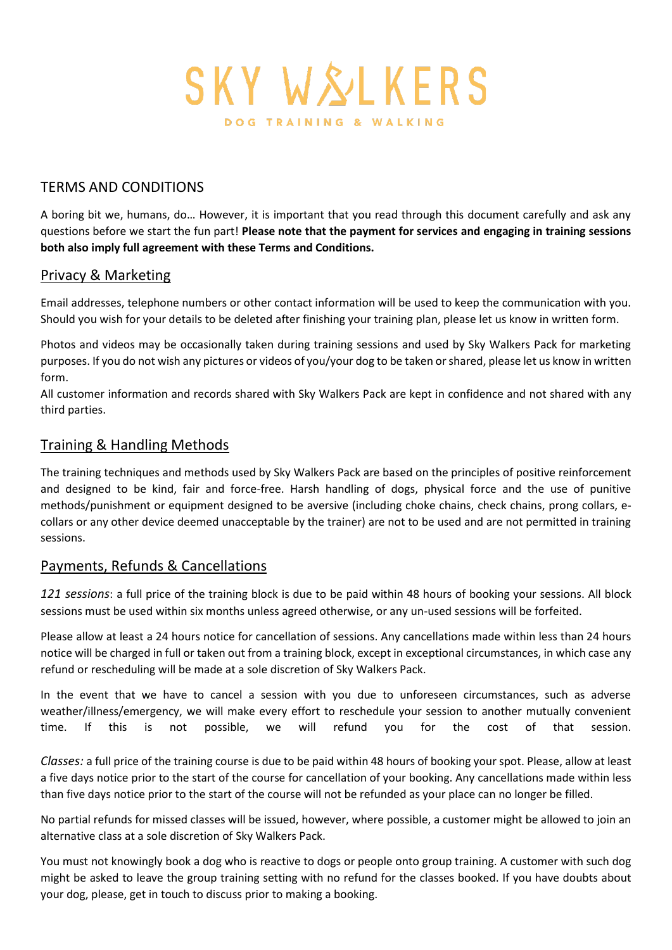

## TERMS AND CONDITIONS

A boring bit we, humans, do… However, it is important that you read through this document carefully and ask any questions before we start the fun part! **Please note that the payment for services and engaging in training sessions both also imply full agreement with these Terms and Conditions.** 

#### Privacy & Marketing

Email addresses, telephone numbers or other contact information will be used to keep the communication with you. Should you wish for your details to be deleted after finishing your training plan, please let us know in written form.

Photos and videos may be occasionally taken during training sessions and used by Sky Walkers Pack for marketing purposes. If you do not wish any pictures or videos of you/your dog to be taken or shared, please let us know in written form.

All customer information and records shared with Sky Walkers Pack are kept in confidence and not shared with any third parties.

### Training & Handling Methods

The training techniques and methods used by Sky Walkers Pack are based on the principles of positive reinforcement and designed to be kind, fair and force-free. Harsh handling of dogs, physical force and the use of punitive methods/punishment or equipment designed to be aversive (including choke chains, check chains, prong collars, ecollars or any other device deemed unacceptable by the trainer) are not to be used and are not permitted in training sessions.

#### Payments, Refunds & Cancellations

*121 sessions*: a full price of the training block is due to be paid within 48 hours of booking your sessions. All block sessions must be used within six months unless agreed otherwise, or any un-used sessions will be forfeited.

Please allow at least a 24 hours notice for cancellation of sessions. Any cancellations made within less than 24 hours notice will be charged in full or taken out from a training block, except in exceptional circumstances, in which case any refund or rescheduling will be made at a sole discretion of Sky Walkers Pack.

In the event that we have to cancel a session with you due to unforeseen circumstances, such as adverse weather/illness/emergency, we will make every effort to reschedule your session to another mutually convenient time. If this is not possible, we will refund you for the cost of that session.

*Classes:* a full price of the training course is due to be paid within 48 hours of booking your spot. Please, allow at least a five days notice prior to the start of the course for cancellation of your booking. Any cancellations made within less than five days notice prior to the start of the course will not be refunded as your place can no longer be filled.

No partial refunds for missed classes will be issued, however, where possible, a customer might be allowed to join an alternative class at a sole discretion of Sky Walkers Pack.

You must not knowingly book a dog who is reactive to dogs or people onto group training. A customer with such dog might be asked to leave the group training setting with no refund for the classes booked. If you have doubts about your dog, please, get in touch to discuss prior to making a booking.